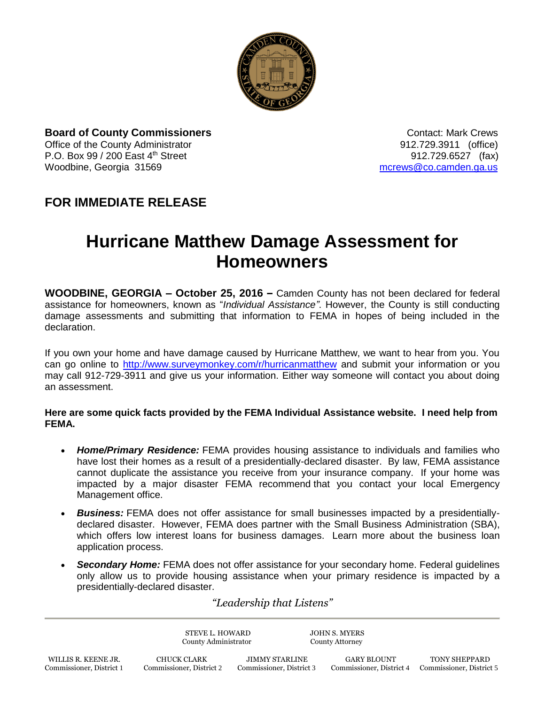

**Board of County Commissioners** Contact: Mark Crews Office of the County Administrator 912.729.3911 (office) P.O. Box 99 / 200 East 4<sup>th</sup> Street 912.729.6527 (fax) Woodbine, Georgia 31569 [mcrews@co.camden.ga.us](mailto:mcrews@co.camden.ga.us)

## **FOR IMMEDIATE RELEASE**

## **Hurricane Matthew Damage Assessment for Homeowners**

**WOODBINE, GEORGIA – October 25, 2016 –** Camden County has not been declared for federal assistance for homeowners, known as "*Individual Assistance"*. However, the County is still conducting damage assessments and submitting that information to FEMA in hopes of being included in the declaration.

If you own your home and have damage caused by Hurricane Matthew, we want to hear from you. You can go online to<http://www.surveymonkey.com/r/hurricanmatthew> and submit your information or you may call 912-729-3911 and give us your information. Either way someone will contact you about doing an assessment.

## **Here are some quick facts provided by the FEMA Individual Assistance website. I need help from FEMA.**

- *Home/Primary Residence:* FEMA provides housing assistance to individuals and families who have lost their homes as a result of a presidentially-declared disaster. By law, FEMA assistance cannot duplicate the assistance you receive from your insurance company. If your home was impacted by a major disaster FEMA recommend that you contact your local Emergency Management office.
- *Business:* FEMA does not offer assistance for small businesses impacted by a presidentiallydeclared disaster. However, FEMA does partner with the Small Business Administration (SBA), which offers low interest loans for business damages. Learn more about the business loan application process.
- *Secondary Home:* FEMA does not offer assistance for your secondary home. Federal guidelines only allow us to provide housing assistance when your primary residence is impacted by a presidentially-declared disaster.

*"Leadership that Listens"*

|                          | STEVE L. HOWARD<br>County Administrator |                          | <b>JOHN S. MYERS</b><br><b>County Attorney</b> |                          |
|--------------------------|-----------------------------------------|--------------------------|------------------------------------------------|--------------------------|
| WILLIS R. KEENE JR.      | CHUCK CLARK                             | <b>JIMMY STARLINE</b>    | <b>GARY BLOUNT</b>                             | <b>TONY SHEPPARD</b>     |
| Commissioner, District 1 | Commissioner, District 2                | Commissioner, District 3 | Commissioner, District 4                       | Commissioner, District 5 |